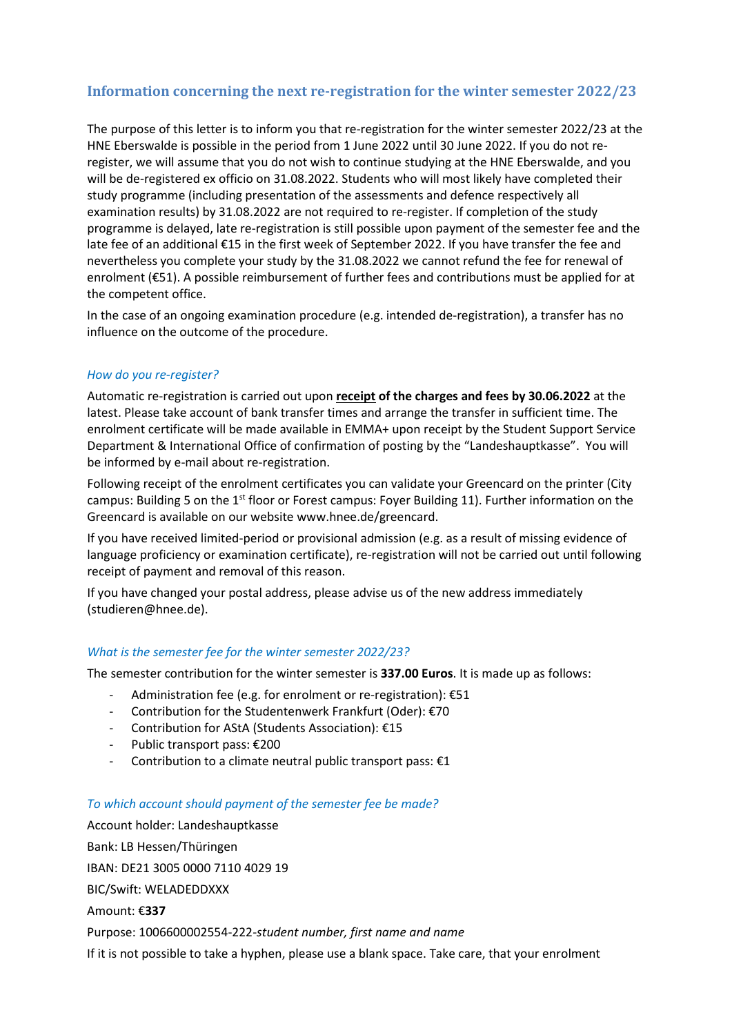# **Information concerning the next re-registration for the winter semester 2022/23**

The purpose of this letter is to inform you that re-registration for the winter semester 2022/23 at the HNE Eberswalde is possible in the period from 1 June 2022 until 30 June 2022. If you do not reregister, we will assume that you do not wish to continue studying at the HNE Eberswalde, and you will be de-registered ex officio on 31.08.2022. Students who will most likely have completed their study programme (including presentation of the assessments and defence respectively all examination results) by 31.08.2022 are not required to re-register. If completion of the study programme is delayed, late re-registration is still possible upon payment of the semester fee and the late fee of an additional €15 in the first week of September 2022. If you have transfer the fee and nevertheless you complete your study by the 31.08.2022 we cannot refund the fee for renewal of enrolment (€51). A possible reimbursement of further fees and contributions must be applied for at the competent office.

In the case of an ongoing examination procedure (e.g. intended de-registration), a transfer has no influence on the outcome of the procedure.

## *How do you re-register?*

Automatic re-registration is carried out upon **receipt of the charges and fees by 30.06.2022** at the latest. Please take account of bank transfer times and arrange the transfer in sufficient time. The enrolment certificate will be made available in EMMA+ upon receipt by the Student Support Service Department & International Office of confirmation of posting by the "Landeshauptkasse". You will be informed by e-mail about re-registration.

Following receipt of the enrolment certificates you can validate your Greencard on the printer (City campus: Building 5 on the 1<sup>st</sup> floor or Forest campus: Foyer Building 11). Further information on the Greencard is available on our website [www.hnee.de/greencard.](http://www.hnee.de/greencard)

If you have received limited-period or provisional admission (e.g. as a result of missing evidence of language proficiency or examination certificate), re-registration will not be carried out until following receipt of payment and removal of this reason.

If you have changed your postal address, please advise us of the new address immediately (studieren@hnee.de).

#### *What is the semester fee for the winter semester 2022/23?*

The semester contribution for the winter semester is **337.00 Euros**. It is made up as follows:

- Administration fee (e.g. for enrolment or re-registration): €51
- Contribution for the Studentenwerk Frankfurt (Oder): €70
- Contribution for AStA (Students Association): €15
- Public transport pass: €200
- Contribution to a climate neutral public transport pass: €1

#### *To which account should payment of the semester fee be made?*

Account holder: Landeshauptkasse Bank: LB Hessen/Thüringen IBAN: DE21 3005 0000 7110 4029 19 BIC/Swift: WELADEDDXXX Amount: €**337** Purpose: 1006600002554-222-*student number, first name and name* If it is not possible to take a hyphen, please use a blank space. Take care, that your enrolment